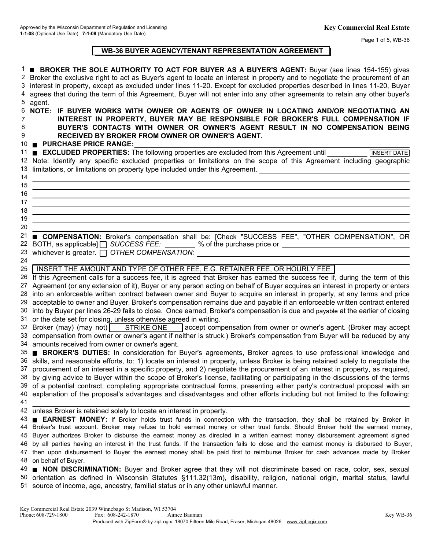Page 1 of 5, WB-36

# **WB-36 BUYER AGENCY/TENANT REPRESENTATION AGREEMENT**

| 5 agent.<br>NOTE: IF BUYER WORKS WITH OWNER OR AGENTS OF OWNER IN LOCATING AND/OR NEGOTIATING AN<br>6<br>INTEREST IN PROPERTY, BUYER MAY BE RESPONSIBLE FOR BROKER'S FULL COMPENSATION IF<br>7<br>BUYER'S CONTACTS WITH OWNER OR OWNER'S AGENT RESULT IN NO COMPENSATION BEING<br>8<br>9<br>RECEIVED BY BROKER FROM OWNER OR OWNER'S AGENT.<br>10 PURCHASE PRICE RANGE:<br><b>EXCLUDED PROPERTIES:</b> The following properties are excluded from this Agreement until<br>11<br>12 Note: Identify any specific excluded properties or limitations on the scope of this Agreement including geographic<br>13 limitations, or limitations on property type included under this Agreement. ____________________<br>14<br>15 | <b>INSERT DATE</b> |
|--------------------------------------------------------------------------------------------------------------------------------------------------------------------------------------------------------------------------------------------------------------------------------------------------------------------------------------------------------------------------------------------------------------------------------------------------------------------------------------------------------------------------------------------------------------------------------------------------------------------------------------------------------------------------------------------------------------------------|--------------------|
|                                                                                                                                                                                                                                                                                                                                                                                                                                                                                                                                                                                                                                                                                                                          |                    |
|                                                                                                                                                                                                                                                                                                                                                                                                                                                                                                                                                                                                                                                                                                                          |                    |
|                                                                                                                                                                                                                                                                                                                                                                                                                                                                                                                                                                                                                                                                                                                          |                    |
|                                                                                                                                                                                                                                                                                                                                                                                                                                                                                                                                                                                                                                                                                                                          |                    |
|                                                                                                                                                                                                                                                                                                                                                                                                                                                                                                                                                                                                                                                                                                                          |                    |
|                                                                                                                                                                                                                                                                                                                                                                                                                                                                                                                                                                                                                                                                                                                          |                    |
|                                                                                                                                                                                                                                                                                                                                                                                                                                                                                                                                                                                                                                                                                                                          |                    |
| 16                                                                                                                                                                                                                                                                                                                                                                                                                                                                                                                                                                                                                                                                                                                       |                    |
| 17<br>18                                                                                                                                                                                                                                                                                                                                                                                                                                                                                                                                                                                                                                                                                                                 |                    |
| 19                                                                                                                                                                                                                                                                                                                                                                                                                                                                                                                                                                                                                                                                                                                       |                    |
| 20                                                                                                                                                                                                                                                                                                                                                                                                                                                                                                                                                                                                                                                                                                                       |                    |
| 21                                                                                                                                                                                                                                                                                                                                                                                                                                                                                                                                                                                                                                                                                                                       |                    |
| <b>COMPENSATION:</b> Broker's compensation shall be: [Check "SUCCESS FEE", "OTHER COMPENSATION", OR<br>22 BOTH, as applicable] □ SUCCESS FEE: 2000 % of the purchase price or 2000 members of 2000 members and 22 BOTH, as applicable] □ SUCCESS FEE: 2000 % of the purchase price or                                                                                                                                                                                                                                                                                                                                                                                                                                    |                    |
| 23 whichever is greater. O OTHER COMPENSATION:                                                                                                                                                                                                                                                                                                                                                                                                                                                                                                                                                                                                                                                                           |                    |
| 24                                                                                                                                                                                                                                                                                                                                                                                                                                                                                                                                                                                                                                                                                                                       |                    |
| INSERT THE AMOUNT AND TYPE OF OTHER FEE, E.G. RETAINER FEE, OR HOURLY FEE<br>25                                                                                                                                                                                                                                                                                                                                                                                                                                                                                                                                                                                                                                          |                    |
| 26 If this Agreement calls for a success fee, it is agreed that Broker has earned the success fee if, during the term of this                                                                                                                                                                                                                                                                                                                                                                                                                                                                                                                                                                                            |                    |
| 27 Agreement (or any extension of it), Buyer or any person acting on behalf of Buyer acquires an interest in property or enters                                                                                                                                                                                                                                                                                                                                                                                                                                                                                                                                                                                          |                    |
| 28 into an enforceable written contract between owner and Buyer to acquire an interest in property, at any terms and price                                                                                                                                                                                                                                                                                                                                                                                                                                                                                                                                                                                               |                    |
| 29 acceptable to owner and Buyer. Broker's compensation remains due and payable if an enforceable written contract entered                                                                                                                                                                                                                                                                                                                                                                                                                                                                                                                                                                                               |                    |
| 30 into by Buyer per lines 26-29 fails to close. Once earned, Broker's compensation is due and payable at the earlier of closing                                                                                                                                                                                                                                                                                                                                                                                                                                                                                                                                                                                         |                    |
| 31 or the date set for closing, unless otherwise agreed in writing.                                                                                                                                                                                                                                                                                                                                                                                                                                                                                                                                                                                                                                                      |                    |
| 32 Broker (may) (may not) <b>STRIKE ONE</b> accept compensation from owner or owner's agent. (Broker may accept                                                                                                                                                                                                                                                                                                                                                                                                                                                                                                                                                                                                          |                    |
| 33 compensation from owner or owner's agent if neither is struck.) Broker's compensation from Buyer will be reduced by any                                                                                                                                                                                                                                                                                                                                                                                                                                                                                                                                                                                               |                    |
| 34 amounts received from owner or owner's agent.                                                                                                                                                                                                                                                                                                                                                                                                                                                                                                                                                                                                                                                                         |                    |
| 35 BROKER'S DUTIES: In consideration for Buyer's agreements, Broker agrees to use professional knowledge and                                                                                                                                                                                                                                                                                                                                                                                                                                                                                                                                                                                                             |                    |
| 36 skills, and reasonable efforts, to: 1) locate an interest in property, unless Broker is being retained solely to negotiate the                                                                                                                                                                                                                                                                                                                                                                                                                                                                                                                                                                                        |                    |
| 37 procurement of an interest in a specific property, and 2) negotiate the procurement of an interest in property, as required,                                                                                                                                                                                                                                                                                                                                                                                                                                                                                                                                                                                          |                    |
| 38 by giving advice to Buyer within the scope of Broker's license, facilitating or participating in the discussions of the terms                                                                                                                                                                                                                                                                                                                                                                                                                                                                                                                                                                                         |                    |
| 39 of a potential contract, completing appropriate contractual forms, presenting either party's contractual proposal with an                                                                                                                                                                                                                                                                                                                                                                                                                                                                                                                                                                                             |                    |
| 40 explanation of the proposal's advantages and disadvantages and other efforts including but not limited to the following:                                                                                                                                                                                                                                                                                                                                                                                                                                                                                                                                                                                              |                    |
| 41                                                                                                                                                                                                                                                                                                                                                                                                                                                                                                                                                                                                                                                                                                                       |                    |
| 42 unless Broker is retained solely to locate an interest in property.                                                                                                                                                                                                                                                                                                                                                                                                                                                                                                                                                                                                                                                   |                    |
| 43 <b>EARNEST MONEY:</b> If Broker holds trust funds in connection with the transaction, they shall be retained by Broker in                                                                                                                                                                                                                                                                                                                                                                                                                                                                                                                                                                                             |                    |
| 44 Broker's trust account. Broker may refuse to hold earnest money or other trust funds. Should Broker hold the earnest money,                                                                                                                                                                                                                                                                                                                                                                                                                                                                                                                                                                                           |                    |
| 45 Buyer authorizes Broker to disburse the earnest money as directed in a written earnest money disbursement agreement signed                                                                                                                                                                                                                                                                                                                                                                                                                                                                                                                                                                                            |                    |
| 46 by all parties having an interest in the trust funds. If the transaction fails to close and the earnest money is disbursed to Buyer,                                                                                                                                                                                                                                                                                                                                                                                                                                                                                                                                                                                  |                    |
| 47 then upon disbursement to Buyer the earnest money shall be paid first to reimburse Broker for cash advances made by Broker                                                                                                                                                                                                                                                                                                                                                                                                                                                                                                                                                                                            |                    |
| 48 on behalf of Buyer.                                                                                                                                                                                                                                                                                                                                                                                                                                                                                                                                                                                                                                                                                                   |                    |
| 49 NON DISCRIMINATION: Buyer and Broker agree that they will not discriminate based on race, color, sex, sexual<br>50 orientation as defined in Wisconsin Statutes §111.32(13m), disability, religion, national origin, marital status, lawful<br>51 source of income, age, ancestry, familial status or in any other unlawful manner.                                                                                                                                                                                                                                                                                                                                                                                   |                    |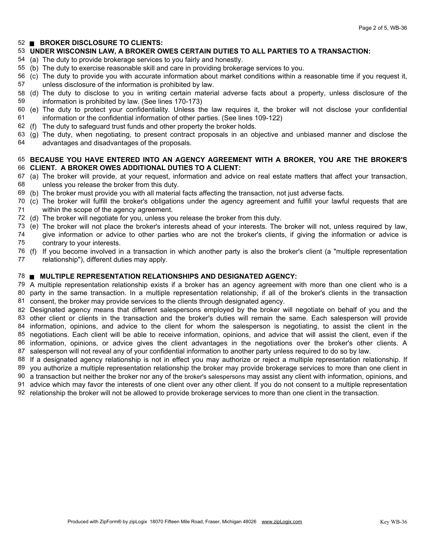# **BROKER DISCLOSURE TO CLIENTS:**

## **UNDER WISCONSIN LAW, A BROKER OWES CERTAIN DUTIES TO ALL PARTIES TO A TRANSACTION:**

- The duty to provide brokerage services to you fairly and honestly. (a)
- 55 (b) The duty to exercise reasonable skill and care in providing brokerage services to you.
- The duty to provide you with accurate information about market conditions within a reasonable time if you request it, (c) unless disclosure of the information is prohibited by law.
- 58 (d) The duty to disclose to you in writing certain material adverse facts about a property, unless disclosure of the information is prohibited by law. (See lines 170-173)
- 60 (e) The duty to protect your confidentiality. Unless the law requires it, the broker will not disclose your confidential information or the confidential information of other parties. (See lines 109-122)
- The duty to safeguard trust funds and other property the broker holds. (f)
- The duty, when negotiating, to present contract proposals in an objective and unbiased manner and disclose the (g) advantages and disadvantages of the proposals.

#### **BECAUSE YOU HAVE ENTERED INTO AN AGENCY AGREEMENT WITH A BROKER, YOU ARE THE BROKER'S CLIENT. A BROKER OWES ADDITIONAL DUTIES TO A CLIENT:**

- (a) The broker will provide, at your request, information and advice on real estate matters that affect your transaction, unless you release the broker from this duty.
- (b) The broker must provide you with all material facts affecting the transaction, not just adverse facts.
- 70 (c) The broker will fulfill the broker's obligations under the agency agreement and fulfill your lawful requests that are within the scope of the agency agreement.
- (d) The broker will negotiate for you, unless you release the broker from this duty.
- (e) The broker will not place the broker's interests ahead of your interests. The broker will not, unless required by law, give information or advice to other parties who are not the broker's clients, if giving the information or advice is contrary to your interests.
- (f) If you become involved in a transaction in which another party is also the broker's client (a "multiple representation relationship"), different duties may apply.

## **MULTIPLE REPRESENTATION RELATIONSHIPS AND DESIGNATED AGENCY:**

 A multiple representation relationship exists if a broker has an agency agreement with more than one client who is a party in the same transaction. In a multiple representation relationship, if all of the broker's clients in the transaction consent, the broker may provide services to the clients through designated agency.

 Designated agency means that different salespersons employed by the broker will negotiate on behalf of you and the other client or clients in the transaction and the broker's duties will remain the same. Each salesperson will provide information, opinions, and advice to the client for whom the salesperson is negotiating, to assist the client in the negotiations. Each client will be able to receive information, opinions, and advice that will assist the client, even if the information, opinions, or advice gives the client advantages in the negotiations over the broker's other clients. A salesperson will not reveal any of your confidential information to another party unless required to do so by law.

88 If a designated agency relationship is not in effect you may authorize or reject a multiple representation relationship. If

you authorize a multiple representation relationship the broker may provide brokerage services to more than one client in

a transaction but neither the broker nor any of the broker's salespersons may assist any client with information, opinions, and

advice which may favor the interests of one client over any other client. If you do not consent to a multiple representation

relationship the broker will not be allowed to provide brokerage services to more than one client in the transaction.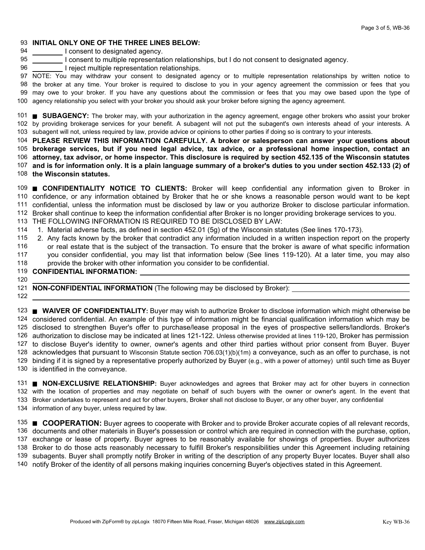## **INITIAL ONLY ONE OF THE THREE LINES BELOW:**

 I consent to designated agency.

- I consent to multiple representation relationships, but I do not consent to designated agency.
- I reject multiple representation relationships.

 NOTE: You may withdraw your consent to designated agency or to multiple representation relationships by written notice to may owe to your broker. If you have any questions about the commission or fees that you may owe based upon the type of agency relationship you select with your broker you should ask your broker before signing the agency agreement. the broker at any time. Your broker is required to disclose to you in your agency agreement the commission or fees that you

**SUBAGENCY:** The broker may, with your authorization in the agency agreement, engage other brokers who assist your broker by providing brokerage services for your benefit. A subagent will not put the subagent's own interests ahead of your interests. A subagent will not, unless required by law, provide advice or opinions to other parties if doing so is contrary to your interests.

 **PLEASE REVIEW THIS INFORMATION CAREFULLY. A broker or salesperson can answer your questions about brokerage services, but if you need legal advice, tax advice, or a professional home inspection, contact an attorney, tax advisor, or home inspector. This disclosure is required by section 452.135 of the Wisconsin statutes and is for information only. It is a plain language summary of a broker's duties to you under section 452.133 (2) of the Wisconsin statutes.**

 **CONFIDENTIALITY NOTICE TO CLIENTS:** Broker will keep confidential any information given to Broker in confidence, or any information obtained by Broker that he or she knows a reasonable person would want to be kept confidential, unless the information must be disclosed by law or you authorize Broker to disclose particular information. Broker shall continue to keep the information confidential after Broker is no longer providing brokerage services to you.

THE FOLLOWING INFORMATION IS REQUIRED TO BE DISCLOSED BY LAW:

- 114 1. Material adverse facts, as defined in section 452.01 (5g) of the Wisconsin statutes (See lines 170-173).
- Any facts known by the broker that contradict any information included in a written inspection report on the property 2.
- or real estate that is the subject of the transaction. To ensure that the broker is aware of what specific information you consider confidential, you may list that information below (See lines 119-120). At a later time, you may also
- provide the broker with other information you consider to be confidential.

# **CONFIDENTIAL INFORMATION:**

#### 

**NON-CONFIDENTIAL INFORMATION** (The following may be disclosed by Broker):

 **WAIVER OF CONFIDENTIALITY:** Buyer may wish to authorize Broker to disclose information which might otherwise be considered confidential. An example of this type of information might be financial qualification information which may be disclosed to strengthen Buyer's offer to purchase/lease proposal in the eyes of prospective sellers/landlords. Broker's authorization to disclose may be indicated at lines 121-122. Unless otherwise provided at lines 119-120, Broker has permission to disclose Buyer's identity to owner, owner's agents and other third parties without prior consent from Buyer. Buyer acknowledges that pursuant to Wisconsin Statute section 706.03(1)(b)(1m) a conveyance, such as an offer to purchase, is not binding if it is signed by a representative properly authorized by Buyer (e.g., with a power of attorney) until such time as Buyer is identified in the conveyance.

 **NON-EXCLUSIVE RELATIONSHIP:** Buyer acknowledges and agrees that Broker may act for other buyers in connection with the location of properties and may negotiate on behalf of such buyers with the owner or owner's agent. In the event that Broker undertakes to represent and act for other buyers, Broker shall not disclose to Buyer, or any other buyer, any confidential information of any buyer, unless required by law.

 **COOPERATION:** Buyer agrees to cooperate with Broker and to provide Broker accurate copies of all relevant records, documents and other materials in Buyer's possession or control which are required in connection with the purchase, option, exchange or lease of property. Buyer agrees to be reasonably available for showings of properties. Buyer authorizes Broker to do those acts reasonably necessary to fulfill Broker's responsibilities under this Agreement including retaining subagents. Buyer shall promptly notify Broker in writing of the description of any property Buyer locates. Buyer shall also notify Broker of the identity of all persons making inquiries concerning Buyer's objectives stated in this Agreement.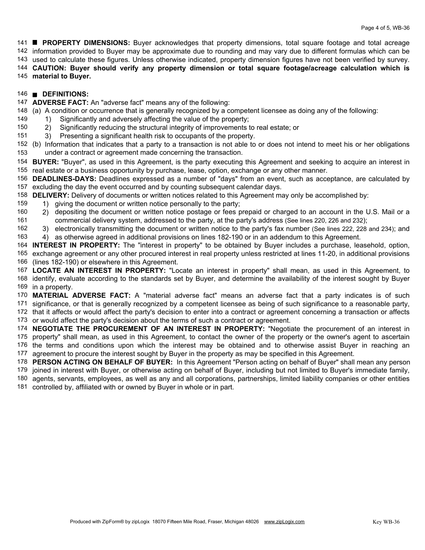**PROPERTY DIMENSIONS:** Buyer acknowledges that property dimensions, total square footage and total acreage information provided to Buyer may be approximate due to rounding and may vary due to different formulas which can be used to calculate these figures. Unless otherwise indicated, property dimension figures have not been verified by survey. **CAUTION: Buyer should verify any property dimension or total square footage/acreage calculation which is**

**material to Buyer.**

#### **DEFINITIONS:**

**ADVERSE FACT:** An "adverse fact" means any of the following:

(a) A condition or occurrence that is generally recognized by a competent licensee as doing any of the following:

- 1) Significantly and adversely affecting the value of the property;
- 2) Significantly reducing the structural integrity of improvements to real estate; or
- 3) Presenting a significant health risk to occupants of the property.
- (b) Information that indicates that a party to a transaction is not able to or does not intend to meet his or her obligations under a contract or agreement made concerning the transaction.
- **BUYER:** "Buyer", as used in this Agreement, is the party executing this Agreement and seeking to acquire an interest in real estate or a business opportunity by purchase, lease, option, exchange or any other manner.
- **DEADLINES-DAYS:** Deadlines expressed as a number of "days" from an event, such as acceptance, are calculated by excluding the day the event occurred and by counting subsequent calendar days.
- **DELIVERY:** Delivery of documents or written notices related to this Agreement may only be accomplished by:
- 1) giving the document or written notice personally to the party;
- depositing the document or written notice postage or fees prepaid or charged to an account in the U.S. Mail or a commercial delivery system, addressed to the party, at the party's address (See lines 220, 226 and 232); 2)

 3) electronically transmitting the document or written notice to the party's fax number (See lines 222, 228 and 234); and

4) as otherwise agreed in additional provisions on lines 182-190 or in an addendum to this Agreement.

 **INTEREST IN PROPERTY:** The "interest in property" to be obtained by Buyer includes a purchase, leasehold, option, exchange agreement or any other procured interest in real property unless restricted at lines 11-20, in additional provisions (lines 182-190) or elsewhere in this Agreement.

 **LOCATE AN INTEREST IN PROPERTY:** "Locate an interest in property" shall mean, as used in this Agreement, to identify, evaluate according to the standards set by Buyer, and determine the availability of the interest sought by Buyer in a property.

**MATERIAL ADVERSE FACT:** A "material adverse fact" means an adverse fact that a party indicates is of such

 significance, or that is generally recognized by a competent licensee as being of such significance to a reasonable party, that it affects or would affect the party's decision to enter into a contract or agreement concerning a transaction or affects or would affect the party's decision about the terms of such a contract or agreement.

 **NEGOTIATE THE PROCUREMENT OF AN INTEREST IN PROPERTY:** "Negotiate the procurement of an interest in property" shall mean, as used in this Agreement, to contact the owner of the property or the owner's agent to ascertain the terms and conditions upon which the interest may be obtained and to otherwise assist Buyer in reaching an

agreement to procure the interest sought by Buyer in the property as may be specified in this Agreement.

**PERSON ACTING ON BEHALF OF BUYER:** In this Agreement "Person acting on behalf of Buyer" shall mean any person

joined in interest with Buyer, or otherwise acting on behalf of Buyer, including but not limited to Buyer's immediate family,

 agents, servants, employees, as well as any and all corporations, partnerships, limited liability companies or other entities controlled by, affiliated with or owned by Buyer in whole or in part.